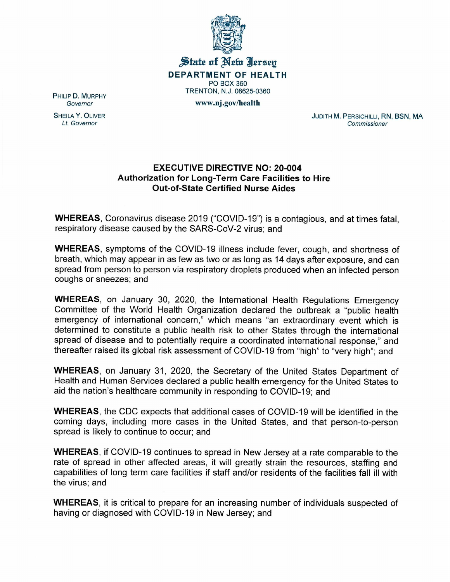

State of New Iersey DEPARTMENT OF HEALTH PO BOX 360 TRENTON, N.J. 08625-0360

www.nj.gov/health

PHILIP D. MURPHY *Governor*

SHEILA Y. OLIVER *Lt. Governor*

JUDITH M. PERSICHILLI, RN, BSN, MA *Commissioner*

## EXECUTIVE DIRECTIVE NO: 20-004 Authorization for Long-Term Care Facilities to Hire Out-of-State Certified Nurse Aides

WHEREAS, Coronavirus disease 2019 ("COVID-19") is a contagious, and at times fatal, respiratory disease caused by the SARS-CoV-2 virus; and

WHEREAS, symptoms of the COVID-19 illness include fever, cough, and shortness of breath, which may appear in as few as two or as long as 14 days after exposure, and can spread from person to person via respiratory droplets produced when an infected person coughs or sneezes; and

WHEREAS, on January 30, 2020, the International Health Regulations Emergency Committee of the World Health Organization declared the outbreak a "public health emergency of international concern," which means "an extraordinary event which is determined to constitute a public health risk to other States through the international spread of disease and to potentially require a coordinated international response," and thereafter raised its global risk assessment of COVID-19 from "high" to "very high"; and

WHEREAS, on January 31, 2020, the Secretary of the United States Department of Health and Human Services declared a public health emergency for the United States to aid the nation's healthcare community in responding to COVID-19; and

WHEREAS, the CDC expects that additional cases of COVID-19 will be identified in the coming days, including more cases in the United States, and that person-to-person spread is likely to continue to occur; and

WHEREAS, if COVID-19 continues to spread in New Jersey at a rate comparable to the rate of spread in other affected areas, it will greatly strain the resources, staffing and capabilities of long term care facilities if staff and/or residents of the facilities fall ill with the virus; and

WHEREAS, it is critical to prepare for an increasing number of individuals suspected of having or diagnosed with COVID-19 in New Jersey; and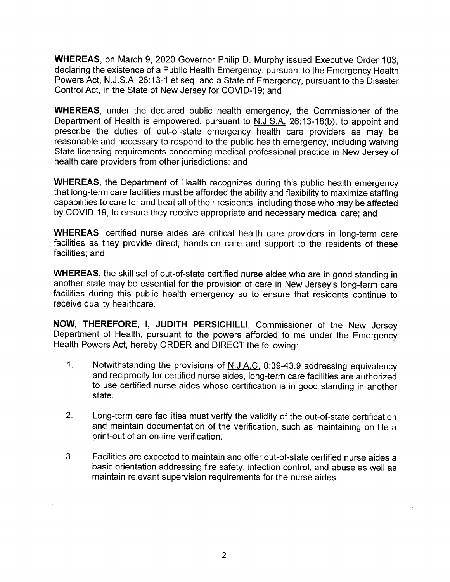**WHEREAS,** on March 9, 2020 Governor Philip D. Murphy issued Executive Order 103, declaring the existence of a Public Health Emergency, pursuant to the Emergency Health Powers Act, N.J.S.A. 26:13-1 et seq, and a State of Emergency, pursuant to the Disaster Control Act, in the State of New Jersey for COVID-19; and

**WHEREAS,** under the declared public health emergency, the Commissioner of the Department of Health is empowered, pursuant to N.J.S.A. 26:13-18(b), to appoint and prescribe the duties of out-of-state emergency health care providers as may be reasonable and necessary to respond to the public health emergency, including waiving State licensing requirements concerning medical professional practice in New Jersey of health care providers from other jurisdictions; and

**WHEREAS,** the Department of Health recognizes during this public health emergency that long-term care facilities must be afforded the ability and flexibility to maximize staffing capabilities to care for and treat all of their residents, including those who may be affected by COVID-19, to ensure they receive appropriate and necessary medical care; and

**WHEREAS,** certified nurse aides are critical health care providers in long-term care facilities as they provide direct, hands-on care and support to the residents of these facilities; and

**WHEREAS,** the skill set of out-of-state certified nurse aides who are in good standing in another state may be essential for the provision of care in New Jersey's long-term care facilities during this public health emergency so to ensure that residents continue to receive quality healthcare.

**NOW, THEREFORE, I, JUDITH PERSICHILLI,** Commissioner of the New Jersey Department of Health, pursuant to the powers afforded to me under the Emergency Health Powers Act, hereby ORDER and DIRECT the following:

- 1. Notwithstanding the provisions of N.J.A.C. 8:39-43.9 addressing equivalency and reciprocity for certified nurse aides, long-term care facilities are authorized to use certified nurse aides whose certification is in good standing in another state.
- 2. Long-term care facilities must verify the validity of the out-of-state certification and maintain documentation of the verification, such as maintaining on file a print-out of an on-line verification.
- 3. Facilities are expected to maintain and offer out-of-state certified nurse aides a basic orientation addressing fire safety, infection control, and abuse as well as maintain relevant supervision requirements for the nurse aides.